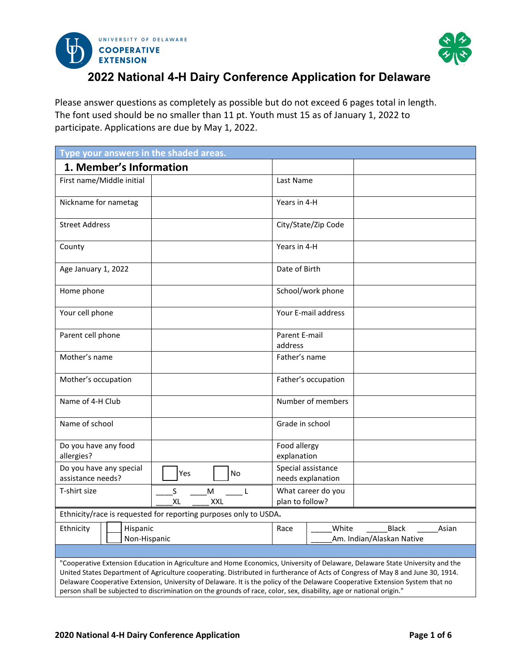



# **2022 National 4-H Dairy Conference Application for Delaware**

Please answer questions as completely as possible but do not exceed 6 pages total in length. The font used should be no smaller than 11 pt. Youth must 15 as of January 1, 2022 to participate. Applications are due by May 1, 2022.

| Type your answers in the shaded areas.                                                                               |                                           |                                                                                                                                                                                                                                                                                                                                                                                                   |
|----------------------------------------------------------------------------------------------------------------------|-------------------------------------------|---------------------------------------------------------------------------------------------------------------------------------------------------------------------------------------------------------------------------------------------------------------------------------------------------------------------------------------------------------------------------------------------------|
| 1. Member's Information                                                                                              |                                           |                                                                                                                                                                                                                                                                                                                                                                                                   |
| First name/Middle initial                                                                                            | Last Name                                 |                                                                                                                                                                                                                                                                                                                                                                                                   |
| Nickname for nametag                                                                                                 | Years in 4-H                              |                                                                                                                                                                                                                                                                                                                                                                                                   |
| <b>Street Address</b>                                                                                                |                                           | City/State/Zip Code                                                                                                                                                                                                                                                                                                                                                                               |
| County                                                                                                               | Years in 4-H                              |                                                                                                                                                                                                                                                                                                                                                                                                   |
| Age January 1, 2022                                                                                                  | Date of Birth                             |                                                                                                                                                                                                                                                                                                                                                                                                   |
| Home phone                                                                                                           |                                           | School/work phone                                                                                                                                                                                                                                                                                                                                                                                 |
| Your cell phone                                                                                                      |                                           | Your E-mail address                                                                                                                                                                                                                                                                                                                                                                               |
| Parent cell phone                                                                                                    | Parent E-mail<br>address                  |                                                                                                                                                                                                                                                                                                                                                                                                   |
| Mother's name                                                                                                        | Father's name                             |                                                                                                                                                                                                                                                                                                                                                                                                   |
| Mother's occupation                                                                                                  |                                           | Father's occupation                                                                                                                                                                                                                                                                                                                                                                               |
| Name of 4-H Club                                                                                                     |                                           | Number of members                                                                                                                                                                                                                                                                                                                                                                                 |
| Name of school                                                                                                       | Grade in school                           |                                                                                                                                                                                                                                                                                                                                                                                                   |
| Do you have any food<br>allergies?                                                                                   | Food allergy<br>explanation               |                                                                                                                                                                                                                                                                                                                                                                                                   |
| Do you have any special<br>Yes<br>assistance needs?                                                                  | No                                        | Special assistance<br>needs explanation                                                                                                                                                                                                                                                                                                                                                           |
| T-shirt size<br>S<br>XL                                                                                              | M<br>- L<br>plan to follow?<br><b>XXL</b> | What career do you                                                                                                                                                                                                                                                                                                                                                                                |
| Ethnicity/race is requested for reporting purposes only to USDA.                                                     |                                           |                                                                                                                                                                                                                                                                                                                                                                                                   |
| Ethnicity<br>Hispanic<br>Non-Hispanic                                                                                | Race                                      | White<br><b>Black</b><br>Asian<br>Am. Indian/Alaskan Native                                                                                                                                                                                                                                                                                                                                       |
|                                                                                                                      |                                           |                                                                                                                                                                                                                                                                                                                                                                                                   |
| person shall be subjected to discrimination on the grounds of race, color, sex, disability, age or national origin." |                                           | "Cooperative Extension Education in Agriculture and Home Economics, University of Delaware, Delaware State University and the<br>United States Department of Agriculture cooperating. Distributed in furtherance of Acts of Congress of May 8 and June 30, 1914.<br>Delaware Cooperative Extension, University of Delaware. It is the policy of the Delaware Cooperative Extension System that no |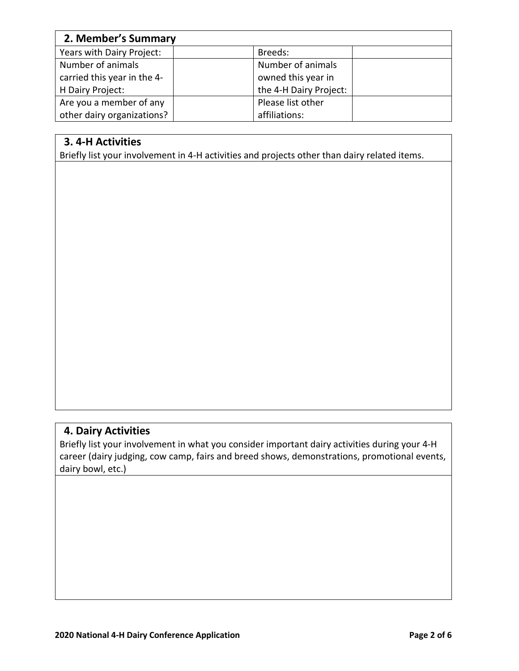| 2. Member's Summary         |                        |  |  |
|-----------------------------|------------------------|--|--|
| Years with Dairy Project:   | Breeds:                |  |  |
| Number of animals           | Number of animals      |  |  |
| carried this year in the 4- | owned this year in     |  |  |
| H Dairy Project:            | the 4-H Dairy Project: |  |  |
| Are you a member of any     | Please list other      |  |  |
| other dairy organizations?  | affiliations:          |  |  |

## **3. 4-H Activities**

Briefly list your involvement in 4-H activities and projects other than dairy related items.

### **4. Dairy Activities**

Briefly list your involvement in what you consider important dairy activities during your 4-H career (dairy judging, cow camp, fairs and breed shows, demonstrations, promotional events, dairy bowl, etc.)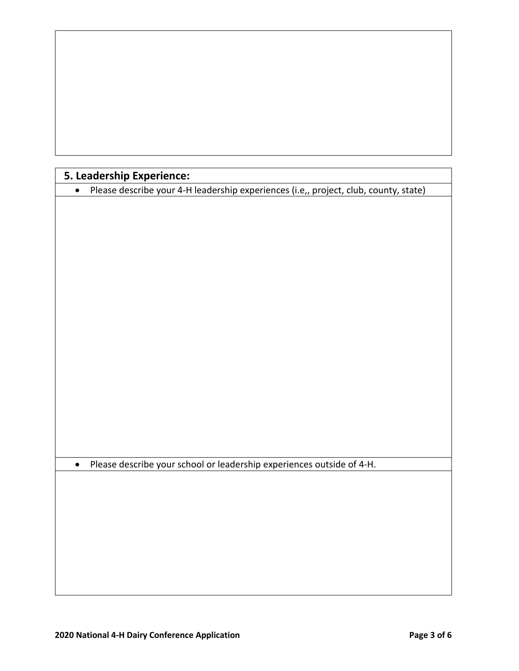|  |  |  | 5. Leadership Experience: |  |
|--|--|--|---------------------------|--|
|--|--|--|---------------------------|--|

|  | • Please describe your 4-H leadership experiences (i.e,, project, club, county, state) |
|--|----------------------------------------------------------------------------------------|
|  |                                                                                        |

• Please describe your school or leadership experiences outside of 4-H.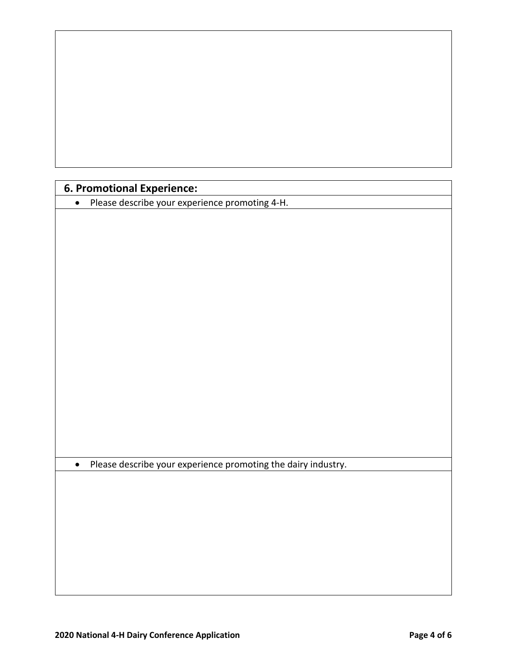|  |  | <b>6. Promotional Experience:</b> |
|--|--|-----------------------------------|
|--|--|-----------------------------------|

• Please describe your experience promoting 4-H.

• Please describe your experience promoting the dairy industry.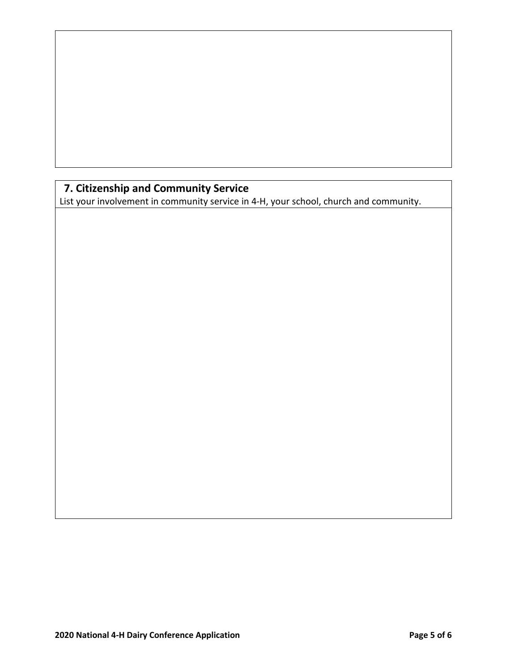# **7. Citizenship and Community Service**

List your involvement in community service in 4-H, your school, church and community.